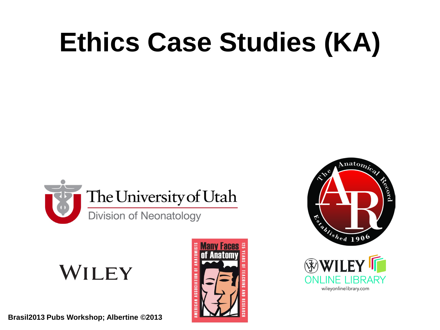# **Ethics Case Studies (KA)**



**WILEY** 







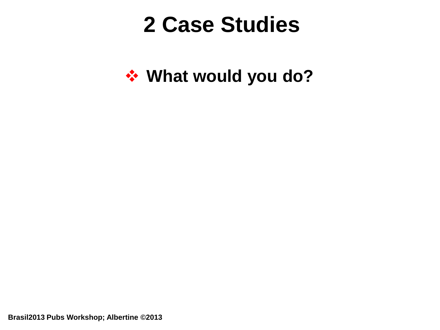## **2 Case Studies**

**What would you do?**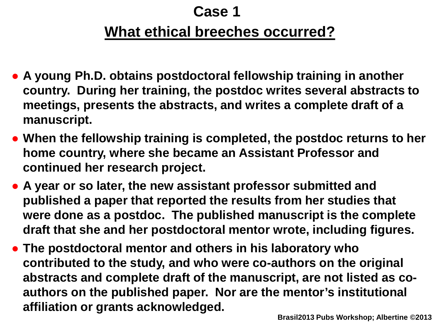### **What ethical breeches occurred? Case 1**

- **A young Ph.D. obtains postdoctoral fellowship training in another country. During her training, the postdoc writes several abstracts to meetings, presents the abstracts, and writes a complete draft of a manuscript.**
- **When the fellowship training is completed, the postdoc returns to her home country, where she became an Assistant Professor and continued her research project.**
- **A year or so later, the new assistant professor submitted and published a paper that reported the results from her studies that were done as a postdoc. The published manuscript is the complete draft that she and her postdoctoral mentor wrote, including figures.**
- **The postdoctoral mentor and others in his laboratory who contributed to the study, and who were co-authors on the original abstracts and complete draft of the manuscript, are not listed as coauthors on the published paper. Nor are the mentor's institutional affiliation or grants acknowledged.**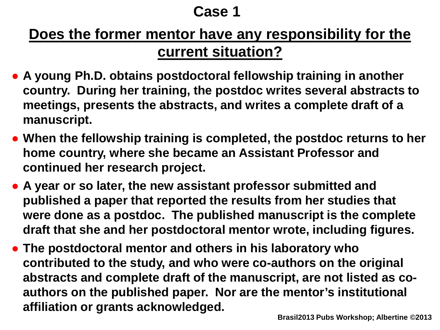#### **Does the former mentor have any responsibility for the current situation?**

- **A young Ph.D. obtains postdoctoral fellowship training in another country. During her training, the postdoc writes several abstracts to meetings, presents the abstracts, and writes a complete draft of a manuscript.**
- **When the fellowship training is completed, the postdoc returns to her home country, where she became an Assistant Professor and continued her research project.**
- **A year or so later, the new assistant professor submitted and published a paper that reported the results from her studies that were done as a postdoc. The published manuscript is the complete draft that she and her postdoctoral mentor wrote, including figures.**
- **The postdoctoral mentor and others in his laboratory who contributed to the study, and who were co-authors on the original abstracts and complete draft of the manuscript, are not listed as coauthors on the published paper. Nor are the mentor's institutional affiliation or grants acknowledged.**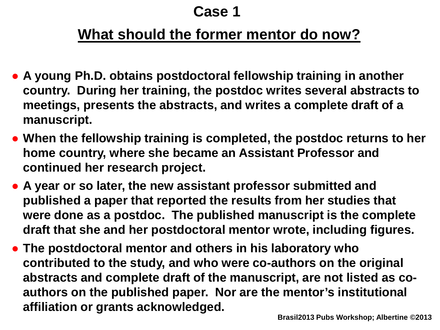#### **What should the former mentor do now?**

- **A young Ph.D. obtains postdoctoral fellowship training in another country. During her training, the postdoc writes several abstracts to meetings, presents the abstracts, and writes a complete draft of a manuscript.**
- **When the fellowship training is completed, the postdoc returns to her home country, where she became an Assistant Professor and continued her research project.**
- **A year or so later, the new assistant professor submitted and published a paper that reported the results from her studies that were done as a postdoc. The published manuscript is the complete draft that she and her postdoctoral mentor wrote, including figures.**
- **The postdoctoral mentor and others in his laboratory who contributed to the study, and who were co-authors on the original abstracts and complete draft of the manuscript, are not listed as coauthors on the published paper. Nor are the mentor's institutional affiliation or grants acknowledged.**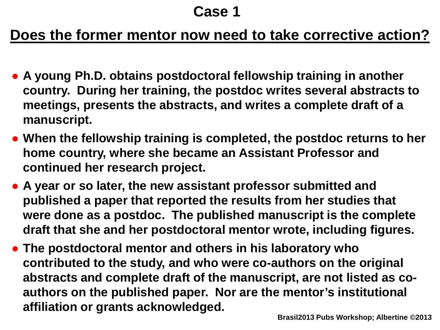#### **Does the former mentor now need to take corrective action?**

- **A young Ph.D. obtains postdoctoral fellowship training in another country. During her training, the postdoc writes several abstracts to meetings, presents the abstracts, and writes a complete draft of a manuscript.**
- **When the fellowship training is completed, the postdoc returns to her home country, where she became an Assistant Professor and continued her research project.**
- **A year or so later, the new assistant professor submitted and published a paper that reported the results from her studies that were done as a postdoc. The published manuscript is the complete draft that she and her postdoctoral mentor wrote, including figures.**
- **The postdoctoral mentor and others in his laboratory who contributed to the study, and who were co-authors on the original abstracts and complete draft of the manuscript, are not listed as coauthors on the published paper. Nor are the mentor's institutional affiliation or grants acknowledged.**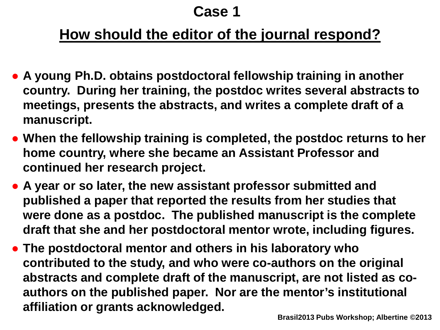#### **How should the editor of the journal respond?**

- **A young Ph.D. obtains postdoctoral fellowship training in another country. During her training, the postdoc writes several abstracts to meetings, presents the abstracts, and writes a complete draft of a manuscript.**
- **When the fellowship training is completed, the postdoc returns to her home country, where she became an Assistant Professor and continued her research project.**
- **A year or so later, the new assistant professor submitted and published a paper that reported the results from her studies that were done as a postdoc. The published manuscript is the complete draft that she and her postdoctoral mentor wrote, including figures.**
- **The postdoctoral mentor and others in his laboratory who contributed to the study, and who were co-authors on the original abstracts and complete draft of the manuscript, are not listed as coauthors on the published paper. Nor are the mentor's institutional affiliation or grants acknowledged.**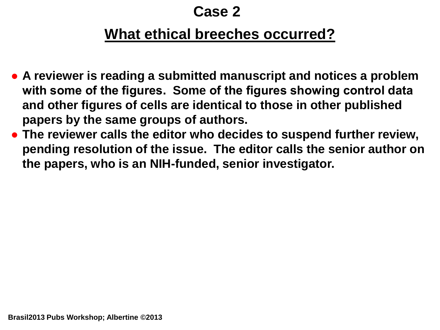#### **What ethical breeches occurred?**

- **A reviewer is reading a submitted manuscript and notices a problem with some of the figures. Some of the figures showing control data and other figures of cells are identical to those in other published papers by the same groups of authors.**
- **The reviewer calls the editor who decides to suspend further review, pending resolution of the issue. The editor calls the senior author on the papers, who is an NIH-funded, senior investigator.**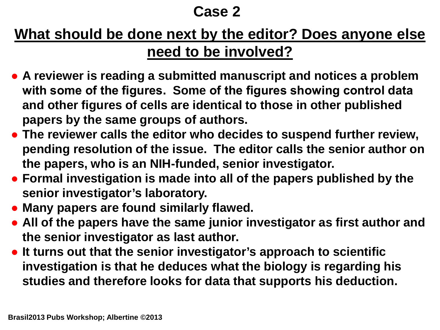#### **What should be done next by the editor? Does anyone else need to be involved?**

- **A reviewer is reading a submitted manuscript and notices a problem with some of the figures. Some of the figures showing control data and other figures of cells are identical to those in other published papers by the same groups of authors.**
- **The reviewer calls the editor who decides to suspend further review, pending resolution of the issue. The editor calls the senior author on the papers, who is an NIH-funded, senior investigator.**
- **Formal investigation is made into all of the papers published by the senior investigator's laboratory.**
- **Many papers are found similarly flawed.**
- **All of the papers have the same junior investigator as first author and the senior investigator as last author.**
- **It turns out that the senior investigator's approach to scientific investigation is that he deduces what the biology is regarding his studies and therefore looks for data that supports his deduction.**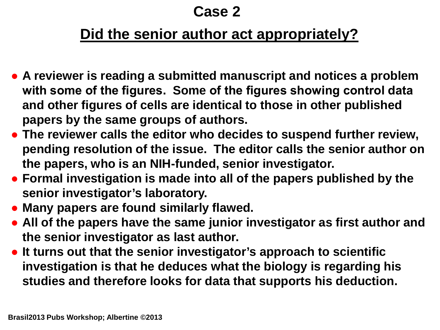#### **Did the senior author act appropriately?**

- **A reviewer is reading a submitted manuscript and notices a problem with some of the figures. Some of the figures showing control data and other figures of cells are identical to those in other published papers by the same groups of authors.**
- **The reviewer calls the editor who decides to suspend further review, pending resolution of the issue. The editor calls the senior author on the papers, who is an NIH-funded, senior investigator.**
- **Formal investigation is made into all of the papers published by the senior investigator's laboratory.**
- **Many papers are found similarly flawed.**
- **All of the papers have the same junior investigator as first author and the senior investigator as last author.**
- **It turns out that the senior investigator's approach to scientific investigation is that he deduces what the biology is regarding his studies and therefore looks for data that supports his deduction.**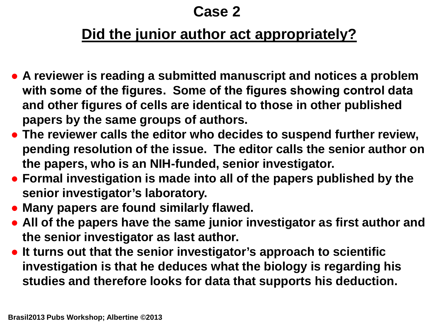#### **Did the junior author act appropriately?**

- **A reviewer is reading a submitted manuscript and notices a problem with some of the figures. Some of the figures showing control data and other figures of cells are identical to those in other published papers by the same groups of authors.**
- **The reviewer calls the editor who decides to suspend further review, pending resolution of the issue. The editor calls the senior author on the papers, who is an NIH-funded, senior investigator.**
- **Formal investigation is made into all of the papers published by the senior investigator's laboratory.**
- **Many papers are found similarly flawed.**
- **All of the papers have the same junior investigator as first author and the senior investigator as last author.**
- **It turns out that the senior investigator's approach to scientific investigation is that he deduces what the biology is regarding his studies and therefore looks for data that supports his deduction.**